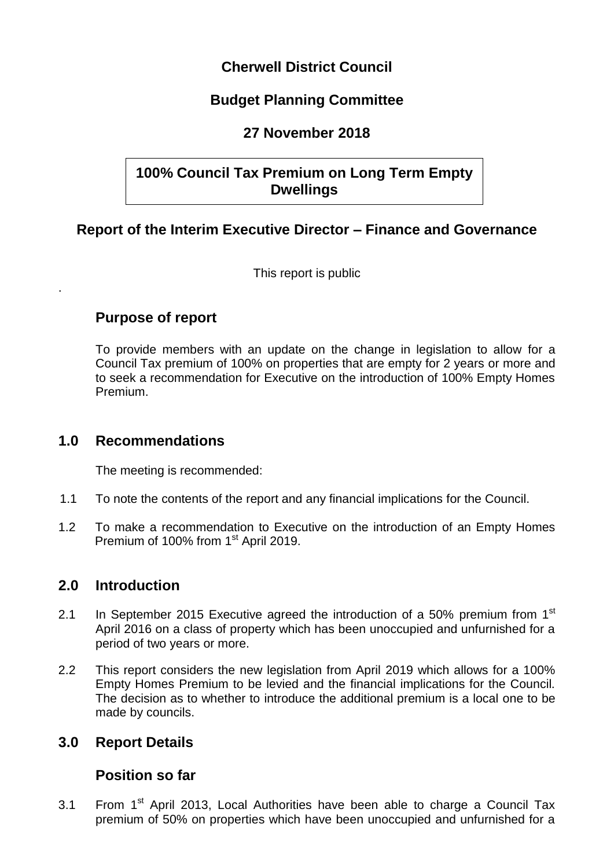# **Cherwell District Council**

# **Budget Planning Committee**

# **27 November 2018**

# **100% Council Tax Premium on Long Term Empty Dwellings**

# **Report of the Interim Executive Director – Finance and Governance**

This report is public

## **Purpose of report**

.

To provide members with an update on the change in legislation to allow for a Council Tax premium of 100% on properties that are empty for 2 years or more and to seek a recommendation for Executive on the introduction of 100% Empty Homes Premium.

## **1.0 Recommendations**

The meeting is recommended:

- 1.1 To note the contents of the report and any financial implications for the Council.
- 1.2 To make a recommendation to Executive on the introduction of an Empty Homes Premium of 100% from 1<sup>st</sup> April 2019.

# **2.0 Introduction**

- 2.1 In September 2015 Executive agreed the introduction of a 50% premium from 1<sup>st</sup> April 2016 on a class of property which has been unoccupied and unfurnished for a period of two years or more.
- 2.2 This report considers the new legislation from April 2019 which allows for a 100% Empty Homes Premium to be levied and the financial implications for the Council. The decision as to whether to introduce the additional premium is a local one to be made by councils.

## **3.0 Report Details**

## **Position so far**

3.1 From  $1<sup>st</sup>$  April 2013, Local Authorities have been able to charge a Council Tax premium of 50% on properties which have been unoccupied and unfurnished for a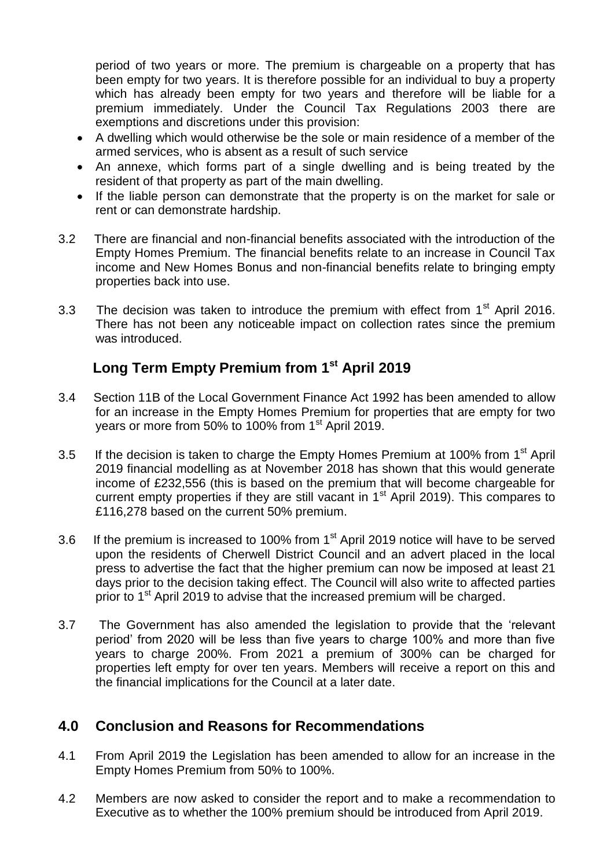period of two years or more. The premium is chargeable on a property that has been empty for two years. It is therefore possible for an individual to buy a property which has already been empty for two years and therefore will be liable for a premium immediately. Under the Council Tax Regulations 2003 there are exemptions and discretions under this provision:

- A dwelling which would otherwise be the sole or main residence of a member of the armed services, who is absent as a result of such service
- An annexe, which forms part of a single dwelling and is being treated by the resident of that property as part of the main dwelling.
- If the liable person can demonstrate that the property is on the market for sale or rent or can demonstrate hardship.
- 3.2 There are financial and non-financial benefits associated with the introduction of the Empty Homes Premium. The financial benefits relate to an increase in Council Tax income and New Homes Bonus and non-financial benefits relate to bringing empty properties back into use.
- 3.3 The decision was taken to introduce the premium with effect from  $1<sup>st</sup>$  April 2016. There has not been any noticeable impact on collection rates since the premium was introduced.

# **Long Term Empty Premium from 1st April 2019**

- 3.4 Section 11B of the Local Government Finance Act 1992 has been amended to allow for an increase in the Empty Homes Premium for properties that are empty for two years or more from 50% to 100% from 1<sup>st</sup> April 2019.
- 3.5 If the decision is taken to charge the Empty Homes Premium at 100% from  $1<sup>st</sup>$  April 2019 financial modelling as at November 2018 has shown that this would generate income of £232,556 (this is based on the premium that will become chargeable for current empty properties if they are still vacant in  $1<sup>st</sup>$  April 2019). This compares to £116,278 based on the current 50% premium.
- 3.6 If the premium is increased to 100% from 1<sup>st</sup> April 2019 notice will have to be served upon the residents of Cherwell District Council and an advert placed in the local press to advertise the fact that the higher premium can now be imposed at least 21 days prior to the decision taking effect. The Council will also write to affected parties prior to 1<sup>st</sup> April 2019 to advise that the increased premium will be charged.
- 3.7 The Government has also amended the legislation to provide that the 'relevant period' from 2020 will be less than five years to charge 100% and more than five years to charge 200%. From 2021 a premium of 300% can be charged for properties left empty for over ten years. Members will receive a report on this and the financial implications for the Council at a later date.

# **4.0 Conclusion and Reasons for Recommendations**

- 4.1 From April 2019 the Legislation has been amended to allow for an increase in the Empty Homes Premium from 50% to 100%.
- 4.2 Members are now asked to consider the report and to make a recommendation to Executive as to whether the 100% premium should be introduced from April 2019.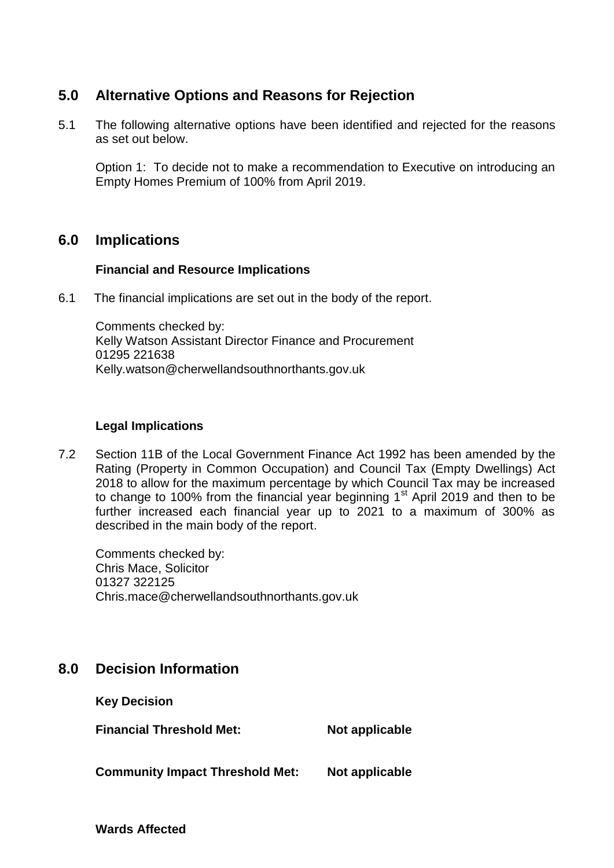# **5.0 Alternative Options and Reasons for Rejection**

5.1 The following alternative options have been identified and rejected for the reasons as set out below.

Option 1: To decide not to make a recommendation to Executive on introducing an Empty Homes Premium of 100% from April 2019.

### **6.0 Implications**

#### **Financial and Resource Implications**

6.1 The financial implications are set out in the body of the report.

Comments checked by: Kelly Watson Assistant Director Finance and Procurement 01295 221638 Kelly.watson@cherwellandsouthnorthants.gov.uk

#### **Legal Implications**

7.2 Section 11B of the Local Government Finance Act 1992 has been amended by the Rating (Property in Common Occupation) and Council Tax (Empty Dwellings) Act 2018 to allow for the maximum percentage by which Council Tax may be increased to change to 100% from the financial year beginning  $1<sup>st</sup>$  April 2019 and then to be further increased each financial year up to 2021 to a maximum of 300% as described in the main body of the report.

Comments checked by: Chris Mace, Solicitor 01327 322125 Chris.mace@cherwellandsouthnorthants.gov.uk

# **8.0 Decision Information**

**Key Decision**

**Financial Threshold Met:** Not applicable

**Community Impact Threshold Met: Not applicable**

**Wards Affected**